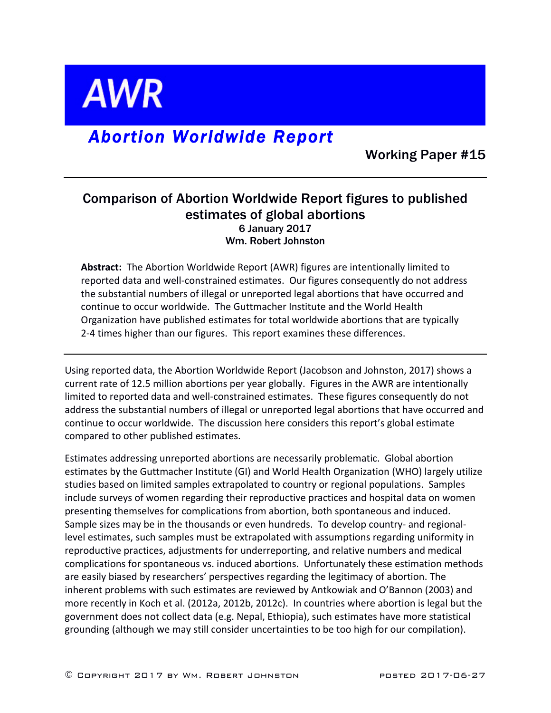

# *Abortion Worldwide Report*

Working Paper #15

## Comparison of Abortion Worldwide Report figures to published estimates of global abortions 6 January 2017 Wm. Robert Johnston

Abstract: The Abortion Worldwide Report (AWR) figures are intentionally limited to reported data and well-constrained estimates. Our figures consequently do not address the substantial numbers of illegal or unreported legal abortions that have occurred and continue to occur worldwide. The Guttmacher Institute and the World Health Organization have published estimates for total worldwide abortions that are typically 2-4 times higher than our figures. This report examines these differences.

Using reported data, the Abortion Worldwide Report (Jacobson and Johnston, 2017) shows a current rate of 12.5 million abortions per year globally. Figures in the AWR are intentionally limited to reported data and well-constrained estimates. These figures consequently do not address the substantial numbers of illegal or unreported legal abortions that have occurred and continue to occur worldwide. The discussion here considers this report's global estimate compared to other published estimates.

Estimates addressing unreported abortions are necessarily problematic. Global abortion estimates by the Guttmacher Institute (GI) and World Health Organization (WHO) largely utilize studies based on limited samples extrapolated to country or regional populations. Samples include surveys of women regarding their reproductive practices and hospital data on women presenting themselves for complications from abortion, both spontaneous and induced. Sample sizes may be in the thousands or even hundreds. To develop country- and regionallevel estimates, such samples must be extrapolated with assumptions regarding uniformity in reproductive practices, adjustments for underreporting, and relative numbers and medical complications for spontaneous vs. induced abortions. Unfortunately these estimation methods are easily biased by researchers' perspectives regarding the legitimacy of abortion. The inherent problems with such estimates are reviewed by Antkowiak and O'Bannon (2003) and more recently in Koch et al. (2012a, 2012b, 2012c). In countries where abortion is legal but the government does not collect data (e.g. Nepal, Ethiopia), such estimates have more statistical grounding (although we may still consider uncertainties to be too high for our compilation).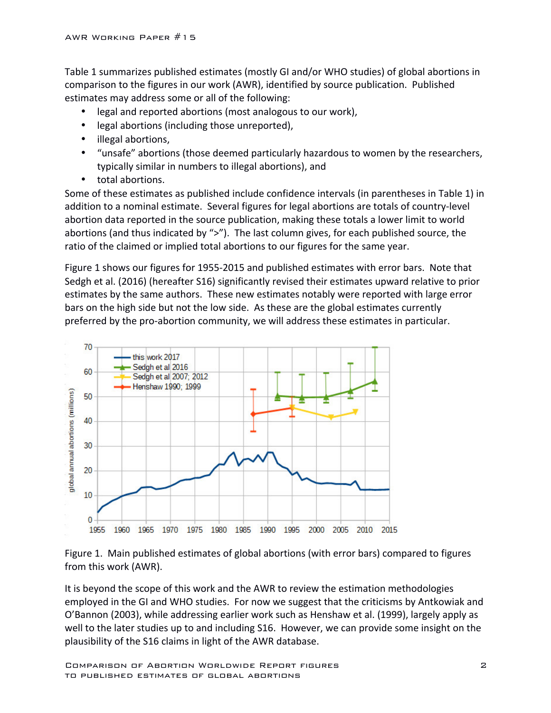Table 1 summarizes published estimates (mostly GI and/or WHO studies) of global abortions in comparison to the figures in our work (AWR), identified by source publication. Published estimates may address some or all of the following:

- legal and reported abortions (most analogous to our work),
- legal abortions (including those unreported),
- illegal abortions,
- "unsafe" abortions (those deemed particularly hazardous to women by the researchers, typically similar in numbers to illegal abortions), and
- total abortions.

Some of these estimates as published include confidence intervals (in parentheses in Table 1) in addition to a nominal estimate. Several figures for legal abortions are totals of country-level abortion data reported in the source publication, making these totals a lower limit to world abortions (and thus indicated by " $>$ "). The last column gives, for each published source, the ratio of the claimed or implied total abortions to our figures for the same year.

Figure 1 shows our figures for 1955-2015 and published estimates with error bars. Note that Sedgh et al. (2016) (hereafter S16) significantly revised their estimates upward relative to prior estimates by the same authors. These new estimates notably were reported with large error bars on the high side but not the low side. As these are the global estimates currently preferred by the pro-abortion community, we will address these estimates in particular.



Figure 1. Main published estimates of global abortions (with error bars) compared to figures from this work (AWR).

It is beyond the scope of this work and the AWR to review the estimation methodologies employed in the GI and WHO studies. For now we suggest that the criticisms by Antkowiak and O'Bannon (2003), while addressing earlier work such as Henshaw et al. (1999), largely apply as well to the later studies up to and including S16. However, we can provide some insight on the plausibility of the S16 claims in light of the AWR database.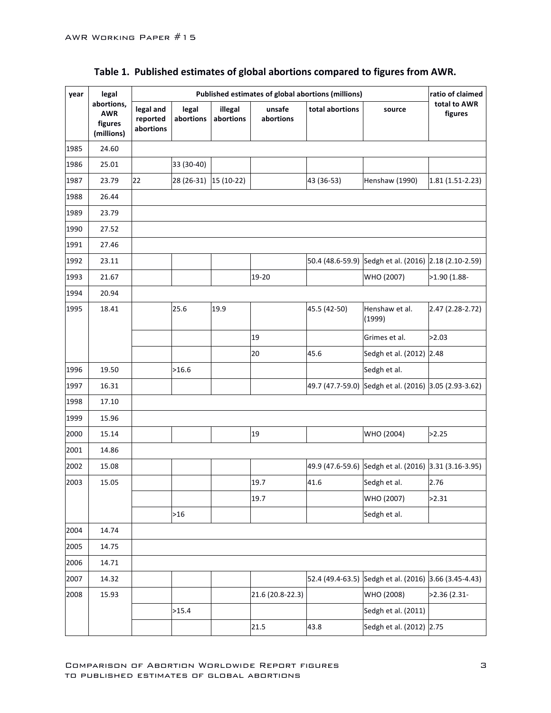| year | legal                                             |                                    | ratio of claimed                                                                    |                      |                     |                 |                                                       |                         |
|------|---------------------------------------------------|------------------------------------|-------------------------------------------------------------------------------------|----------------------|---------------------|-----------------|-------------------------------------------------------|-------------------------|
|      | abortions,<br><b>AWR</b><br>figures<br>(millions) | legal and<br>reported<br>abortions | legal<br>abortions                                                                  | illegal<br>abortions | unsafe<br>abortions | total abortions | source                                                | total to AWR<br>figures |
| 1985 | 24.60                                             |                                    |                                                                                     |                      |                     |                 |                                                       |                         |
| 1986 | 25.01                                             |                                    | 33 (30-40)                                                                          |                      |                     |                 |                                                       |                         |
| 1987 | 23.79                                             | 22                                 | $\left  28 \right  \left( 26 - 31 \right) \left  15 \right  \left( 10 - 22 \right)$ |                      |                     | 43 (36-53)      | Henshaw (1990)                                        | $1.81(1.51-2.23)$       |
| 1988 | 26.44                                             |                                    |                                                                                     |                      |                     |                 |                                                       |                         |
| 1989 | 23.79                                             |                                    |                                                                                     |                      |                     |                 |                                                       |                         |
| 1990 | 27.52                                             |                                    |                                                                                     |                      |                     |                 |                                                       |                         |
| 1991 | 27.46                                             |                                    |                                                                                     |                      |                     |                 |                                                       |                         |
| 1992 | 23.11                                             |                                    |                                                                                     |                      |                     |                 | 50.4 (48.6-59.9) Sedgh et al. (2016) 2.18 (2.10-2.59) |                         |
| 1993 | 21.67                                             |                                    |                                                                                     |                      | 19-20               |                 | WHO (2007)                                            | >1.90 (1.88-            |
| 1994 | 20.94                                             |                                    |                                                                                     |                      |                     |                 |                                                       |                         |
| 1995 | 18.41                                             |                                    | 25.6                                                                                | 19.9                 |                     | 45.5 (42-50)    | Henshaw et al.<br>(1999)                              | 2.47 (2.28-2.72)        |
|      |                                                   |                                    |                                                                                     |                      | 19                  |                 | Grimes et al.                                         | >2.03                   |
|      |                                                   |                                    |                                                                                     |                      | 20                  | 45.6            | Sedgh et al. (2012) 2.48                              |                         |
| 1996 | 19.50                                             |                                    | >16.6                                                                               |                      |                     |                 | Sedgh et al.                                          |                         |
| 1997 | 16.31                                             |                                    |                                                                                     |                      |                     |                 | 49.7 (47.7-59.0) Sedgh et al. (2016) 3.05 (2.93-3.62) |                         |
| 1998 | 17.10                                             |                                    |                                                                                     |                      |                     |                 |                                                       |                         |
| 1999 | 15.96                                             |                                    |                                                                                     |                      |                     |                 |                                                       |                         |
| 2000 | 15.14                                             |                                    |                                                                                     |                      | 19                  |                 | WHO (2004)                                            | >2.25                   |
| 2001 | 14.86                                             |                                    |                                                                                     |                      |                     |                 |                                                       |                         |
| 2002 | 15.08                                             |                                    |                                                                                     |                      |                     |                 | 49.9 (47.6-59.6) Sedgh et al. (2016) 3.31 (3.16-3.95) |                         |
| 2003 | 15.05                                             |                                    |                                                                                     |                      | 19.7                | 41.6            | Sedgh et al.                                          | 2.76                    |
|      |                                                   |                                    |                                                                                     |                      | 19.7                |                 | WHO (2007)                                            | >2.31                   |
|      |                                                   |                                    | $>16$                                                                               |                      |                     |                 | Sedgh et al.                                          |                         |
| 2004 | 14.74                                             |                                    |                                                                                     |                      |                     |                 |                                                       |                         |
| 2005 | 14.75                                             |                                    |                                                                                     |                      |                     |                 |                                                       |                         |
| 2006 | 14.71                                             |                                    |                                                                                     |                      |                     |                 |                                                       |                         |
| 2007 | 14.32                                             |                                    |                                                                                     |                      |                     |                 | 52.4 (49.4-63.5) Sedgh et al. (2016) 3.66 (3.45-4.43) |                         |
| 2008 | 15.93                                             |                                    |                                                                                     |                      | 21.6 (20.8-22.3)    |                 | WHO (2008)                                            | $>2.36$ (2.31-          |
|      |                                                   |                                    | >15.4                                                                               |                      |                     |                 | Sedgh et al. (2011)                                   |                         |
|      |                                                   |                                    |                                                                                     |                      | 21.5                | 43.8            | Sedgh et al. (2012) 2.75                              |                         |

# Table 1. Published estimates of global abortions compared to figures from AWR.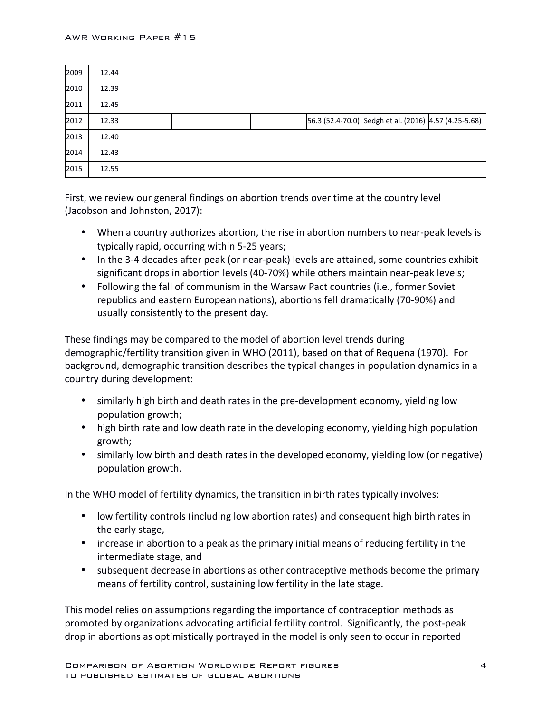| 2009 | 12.44 |  |  |                                                       |  |
|------|-------|--|--|-------------------------------------------------------|--|
| 2010 | 12.39 |  |  |                                                       |  |
| 2011 | 12.45 |  |  |                                                       |  |
| 2012 | 12.33 |  |  | 56.3 (52.4-70.0) Sedgh et al. (2016) 4.57 (4.25-5.68) |  |
| 2013 | 12.40 |  |  |                                                       |  |
| 2014 | 12.43 |  |  |                                                       |  |
| 2015 | 12.55 |  |  |                                                       |  |

First, we review our general findings on abortion trends over time at the country level (Jacobson and Johnston, 2017):

- When a country authorizes abortion, the rise in abortion numbers to near-peak levels is typically rapid, occurring within 5-25 years;
- In the 3-4 decades after peak (or near-peak) levels are attained, some countries exhibit significant drops in abortion levels (40-70%) while others maintain near-peak levels;
- Following the fall of communism in the Warsaw Pact countries (i.e., former Soviet republics and eastern European nations), abortions fell dramatically (70-90%) and usually consistently to the present day.

These findings may be compared to the model of abortion level trends during demographic/fertility transition given in WHO (2011), based on that of Requena (1970). For background, demographic transition describes the typical changes in population dynamics in a country during development:

- similarly high birth and death rates in the pre-development economy, yielding low population growth;
- high birth rate and low death rate in the developing economy, yielding high population growth;
- similarly low birth and death rates in the developed economy, yielding low (or negative) population growth.

In the WHO model of fertility dynamics, the transition in birth rates typically involves:

- low fertility controls (including low abortion rates) and consequent high birth rates in the early stage,
- increase in abortion to a peak as the primary initial means of reducing fertility in the intermediate stage, and
- subsequent decrease in abortions as other contraceptive methods become the primary means of fertility control, sustaining low fertility in the late stage.

This model relies on assumptions regarding the importance of contraception methods as promoted by organizations advocating artificial fertility control. Significantly, the post-peak drop in abortions as optimistically portrayed in the model is only seen to occur in reported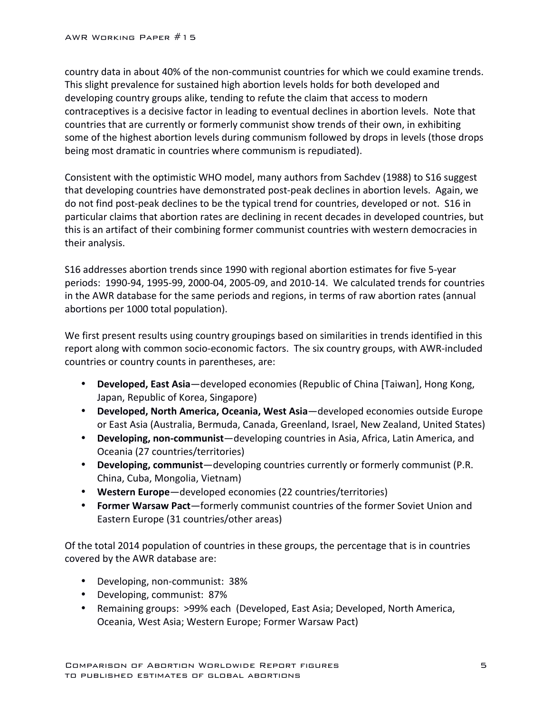country data in about 40% of the non-communist countries for which we could examine trends. This slight prevalence for sustained high abortion levels holds for both developed and developing country groups alike, tending to refute the claim that access to modern contraceptives is a decisive factor in leading to eventual declines in abortion levels. Note that countries that are currently or formerly communist show trends of their own, in exhibiting some of the highest abortion levels during communism followed by drops in levels (those drops being most dramatic in countries where communism is repudiated).

Consistent with the optimistic WHO model, many authors from Sachdev (1988) to S16 suggest that developing countries have demonstrated post-peak declines in abortion levels. Again, we do not find post-peak declines to be the typical trend for countries, developed or not. S16 in particular claims that abortion rates are declining in recent decades in developed countries, but this is an artifact of their combining former communist countries with western democracies in their analysis.

S16 addresses abortion trends since 1990 with regional abortion estimates for five 5-year periods: 1990-94, 1995-99, 2000-04, 2005-09, and 2010-14. We calculated trends for countries in the AWR database for the same periods and regions, in terms of raw abortion rates (annual abortions per 1000 total population).

We first present results using country groupings based on similarities in trends identified in this report along with common socio-economic factors. The six country groups, with AWR-included countries or country counts in parentheses, are:

- **Developed, East Asia**—developed economies (Republic of China [Taiwan], Hong Kong, Japan, Republic of Korea, Singapore)
- **Developed, North America, Oceania, West Asia**—developed economies outside Europe or East Asia (Australia, Bermuda, Canada, Greenland, Israel, New Zealand, United States)
- Developing, non-communist—developing countries in Asia, Africa, Latin America, and Oceania (27 countries/territories)
- Developing, communist—developing countries currently or formerly communist (P.R. China, Cuba, Mongolia, Vietnam)
- Western Europe-developed economies (22 countries/territories)
- **Former Warsaw Pact**—formerly communist countries of the former Soviet Union and Eastern Europe (31 countries/other areas)

Of the total 2014 population of countries in these groups, the percentage that is in countries covered by the AWR database are:

- Developing, non-communist: 38%
- Developing, communist: 87%
- Remaining groups: >99% each (Developed, East Asia; Developed, North America, Oceania, West Asia; Western Europe; Former Warsaw Pact)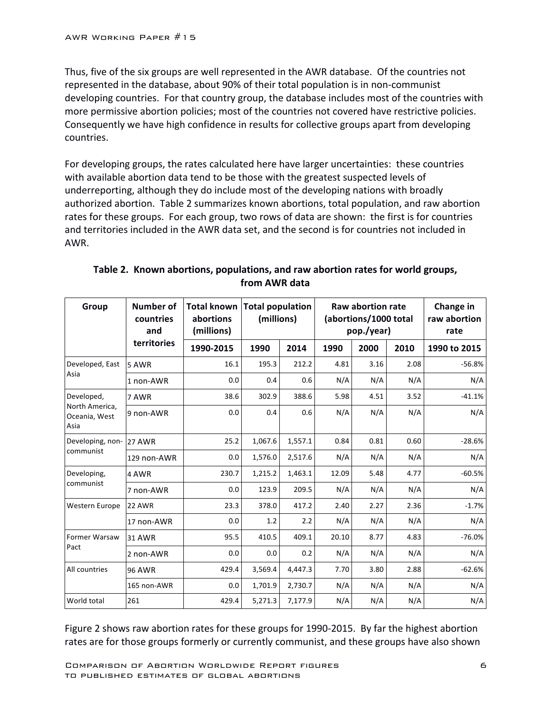Thus, five of the six groups are well represented in the AWR database. Of the countries not represented in the database, about 90% of their total population is in non-communist developing countries. For that country group, the database includes most of the countries with more permissive abortion policies; most of the countries not covered have restrictive policies. Consequently we have high confidence in results for collective groups apart from developing countries.

For developing groups, the rates calculated here have larger uncertainties: these countries with available abortion data tend to be those with the greatest suspected levels of underreporting, although they do include most of the developing nations with broadly authorized abortion. Table 2 summarizes known abortions, total population, and raw abortion rates for these groups. For each group, two rows of data are shown: the first is for countries and territories included in the AWR data set, and the second is for countries not included in AWR.

| Group                                   | Number of<br>Total known<br>countries<br>abortions<br>(millions)<br>and |           | <b>Total population</b><br>(millions) |         |       | Raw abortion rate<br>(abortions/1000 total<br>pop./year) | Change in<br>raw abortion<br>rate |              |
|-----------------------------------------|-------------------------------------------------------------------------|-----------|---------------------------------------|---------|-------|----------------------------------------------------------|-----------------------------------|--------------|
|                                         | territories                                                             | 1990-2015 | 1990                                  | 2014    | 1990  | 2000                                                     | 2010                              | 1990 to 2015 |
| Developed, East                         | 5 AWR                                                                   | 16.1      | 195.3                                 | 212.2   | 4.81  | 3.16                                                     | 2.08                              | $-56.8%$     |
| Asia                                    | 1 non-AWR                                                               | 0.0       | 0.4                                   | 0.6     | N/A   | N/A                                                      | N/A                               | N/A          |
| Developed,                              | 7 AWR                                                                   | 38.6      | 302.9                                 | 388.6   | 5.98  | 4.51                                                     | 3.52                              | $-41.1%$     |
| North America,<br>Oceania, West<br>Asia | 9 non-AWR                                                               | 0.0       | 0.4                                   | 0.6     | N/A   | N/A                                                      | N/A                               | N/A          |
| Developing, non-                        | 27 AWR                                                                  | 25.2      | 1,067.6                               | 1,557.1 | 0.84  | 0.81                                                     | 0.60                              | $-28.6%$     |
| communist                               | 129 non-AWR                                                             | 0.0       | 1,576.0                               | 2,517.6 | N/A   | N/A                                                      | N/A                               | N/A          |
| Developing,                             | 4 AWR                                                                   | 230.7     | 1,215.2                               | 1,463.1 | 12.09 | 5.48                                                     | 4.77                              | $-60.5%$     |
| communist                               | 7 non-AWR                                                               | 0.0       | 123.9                                 | 209.5   | N/A   | N/A                                                      | N/A                               | N/A          |
| Western Europe                          | 22 AWR                                                                  | 23.3      | 378.0                                 | 417.2   | 2.40  | 2.27                                                     | 2.36                              | $-1.7%$      |
|                                         | 17 non-AWR                                                              | 0.0       | 1.2                                   | 2.2     | N/A   | N/A                                                      | N/A                               | N/A          |
| <b>Former Warsaw</b>                    | 31 AWR                                                                  | 95.5      | 410.5                                 | 409.1   | 20.10 | 8.77                                                     | 4.83                              | $-76.0%$     |
| Pact                                    | 2 non-AWR                                                               | 0.0       | 0.0                                   | 0.2     | N/A   | N/A                                                      | N/A                               | N/A          |
| All countries                           | <b>96 AWR</b>                                                           | 429.4     | 3,569.4                               | 4,447.3 | 7.70  | 3.80                                                     | 2.88                              | $-62.6%$     |
|                                         | 165 non-AWR                                                             | 0.0       | 1,701.9                               | 2,730.7 | N/A   | N/A                                                      | N/A                               | N/A          |
| World total                             | 261                                                                     | 429.4     | 5,271.3                               | 7,177.9 | N/A   | N/A                                                      | N/A                               | N/A          |

Table 2. Known abortions, populations, and raw abortion rates for world groups, **from AWR data**

Figure 2 shows raw abortion rates for these groups for 1990-2015. By far the highest abortion rates are for those groups formerly or currently communist, and these groups have also shown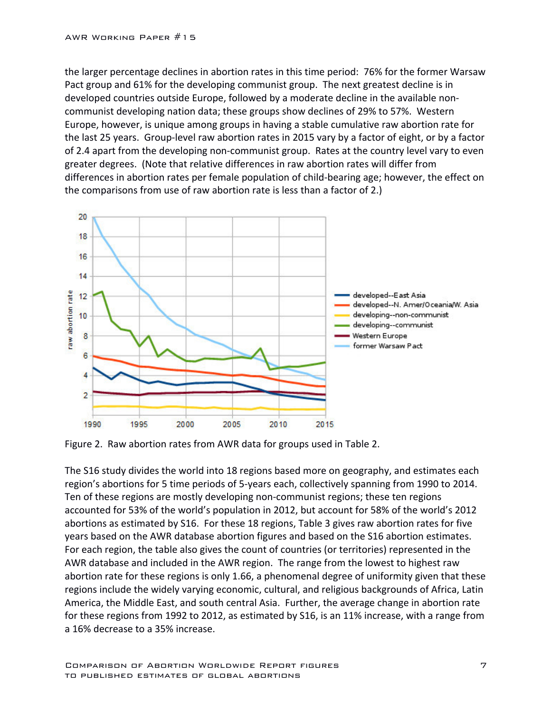the larger percentage declines in abortion rates in this time period: 76% for the former Warsaw Pact group and 61% for the developing communist group. The next greatest decline is in developed countries outside Europe, followed by a moderate decline in the available noncommunist developing nation data; these groups show declines of 29% to 57%. Western Europe, however, is unique among groups in having a stable cumulative raw abortion rate for the last 25 years. Group-level raw abortion rates in 2015 vary by a factor of eight, or by a factor of 2.4 apart from the developing non-communist group. Rates at the country level vary to even greater degrees. (Note that relative differences in raw abortion rates will differ from differences in abortion rates per female population of child-bearing age; however, the effect on the comparisons from use of raw abortion rate is less than a factor of 2.)



Figure 2. Raw abortion rates from AWR data for groups used in Table 2.

The S16 study divides the world into 18 regions based more on geography, and estimates each region's abortions for 5 time periods of 5-years each, collectively spanning from 1990 to 2014. Ten of these regions are mostly developing non-communist regions; these ten regions accounted for 53% of the world's population in 2012, but account for 58% of the world's 2012 abortions as estimated by S16. For these 18 regions, Table 3 gives raw abortion rates for five years based on the AWR database abortion figures and based on the S16 abortion estimates. For each region, the table also gives the count of countries (or territories) represented in the AWR database and included in the AWR region. The range from the lowest to highest raw abortion rate for these regions is only 1.66, a phenomenal degree of uniformity given that these regions include the widely varying economic, cultural, and religious backgrounds of Africa, Latin America, the Middle East, and south central Asia. Further, the average change in abortion rate for these regions from 1992 to 2012, as estimated by S16, is an 11% increase, with a range from a 16% decrease to a 35% increase.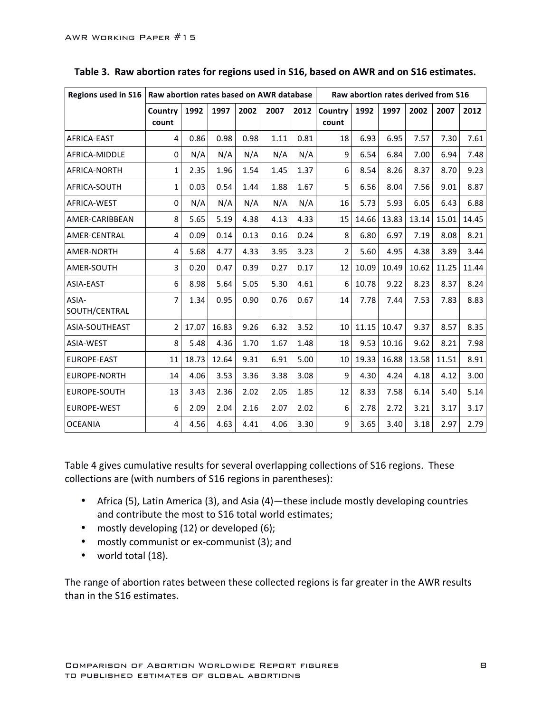| Regions used in S16    | Raw abortion rates based on AWR database |       |       |      |      |      | Raw abortion rates derived from S16 |       |       |       |       |       |  |
|------------------------|------------------------------------------|-------|-------|------|------|------|-------------------------------------|-------|-------|-------|-------|-------|--|
|                        | Country<br>count                         | 1992  | 1997  | 2002 | 2007 | 2012 | Country<br>count                    | 1992  | 1997  | 2002  | 2007  | 2012  |  |
| AFRICA-EAST            | 4                                        | 0.86  | 0.98  | 0.98 | 1.11 | 0.81 | 18                                  | 6.93  | 6.95  | 7.57  | 7.30  | 7.61  |  |
| AFRICA-MIDDLE          | $\Omega$                                 | N/A   | N/A   | N/A  | N/A  | N/A  | 9                                   | 6.54  | 6.84  | 7.00  | 6.94  | 7.48  |  |
| AFRICA-NORTH           | $\mathbf{1}$                             | 2.35  | 1.96  | 1.54 | 1.45 | 1.37 | 6                                   | 8.54  | 8.26  | 8.37  | 8.70  | 9.23  |  |
| AFRICA-SOUTH           | $\mathbf{1}$                             | 0.03  | 0.54  | 1.44 | 1.88 | 1.67 | 5                                   | 6.56  | 8.04  | 7.56  | 9.01  | 8.87  |  |
| AFRICA-WEST            | $\Omega$                                 | N/A   | N/A   | N/A  | N/A  | N/A  | 16                                  | 5.73  | 5.93  | 6.05  | 6.43  | 6.88  |  |
| AMER-CARIBBEAN         | 8                                        | 5.65  | 5.19  | 4.38 | 4.13 | 4.33 | 15                                  | 14.66 | 13.83 | 13.14 | 15.01 | 14.45 |  |
| <b>AMER-CENTRAL</b>    | $\overline{4}$                           | 0.09  | 0.14  | 0.13 | 0.16 | 0.24 | 8                                   | 6.80  | 6.97  | 7.19  | 8.08  | 8.21  |  |
| AMER-NORTH             | 4                                        | 5.68  | 4.77  | 4.33 | 3.95 | 3.23 | $\overline{2}$                      | 5.60  | 4.95  | 4.38  | 3.89  | 3.44  |  |
| AMER-SOUTH             | 3                                        | 0.20  | 0.47  | 0.39 | 0.27 | 0.17 | 12                                  | 10.09 | 10.49 | 10.62 | 11.25 | 11.44 |  |
| <b>ASIA-EAST</b>       | 6                                        | 8.98  | 5.64  | 5.05 | 5.30 | 4.61 | 6                                   | 10.78 | 9.22  | 8.23  | 8.37  | 8.24  |  |
| ASIA-<br>SOUTH/CENTRAL | 7                                        | 1.34  | 0.95  | 0.90 | 0.76 | 0.67 | 14                                  | 7.78  | 7.44  | 7.53  | 7.83  | 8.83  |  |
| ASIA-SOUTHEAST         | $\overline{2}$                           | 17.07 | 16.83 | 9.26 | 6.32 | 3.52 | 10                                  | 11.15 | 10.47 | 9.37  | 8.57  | 8.35  |  |
| ASIA-WEST              | 8                                        | 5.48  | 4.36  | 1.70 | 1.67 | 1.48 | 18                                  | 9.53  | 10.16 | 9.62  | 8.21  | 7.98  |  |
| <b>EUROPE-EAST</b>     | 11                                       | 18.73 | 12.64 | 9.31 | 6.91 | 5.00 | 10                                  | 19.33 | 16.88 | 13.58 | 11.51 | 8.91  |  |
| <b>EUROPE-NORTH</b>    | 14                                       | 4.06  | 3.53  | 3.36 | 3.38 | 3.08 | 9                                   | 4.30  | 4.24  | 4.18  | 4.12  | 3.00  |  |
| <b>EUROPE-SOUTH</b>    | 13                                       | 3.43  | 2.36  | 2.02 | 2.05 | 1.85 | 12                                  | 8.33  | 7.58  | 6.14  | 5.40  | 5.14  |  |
| <b>EUROPE-WEST</b>     | 6                                        | 2.09  | 2.04  | 2.16 | 2.07 | 2.02 | 6                                   | 2.78  | 2.72  | 3.21  | 3.17  | 3.17  |  |
| <b>OCEANIA</b>         | $\overline{4}$                           | 4.56  | 4.63  | 4.41 | 4.06 | 3.30 | 9                                   | 3.65  | 3.40  | 3.18  | 2.97  | 2.79  |  |

Table 3. Raw abortion rates for regions used in S16, based on AWR and on S16 estimates.

Table 4 gives cumulative results for several overlapping collections of S16 regions. These collections are (with numbers of S16 regions in parentheses):

- Africa (5), Latin America (3), and Asia (4)—these include mostly developing countries and contribute the most to S16 total world estimates;
- mostly developing (12) or developed (6);
- mostly communist or ex-communist (3); and
- world total  $(18)$ .

The range of abortion rates between these collected regions is far greater in the AWR results than in the S16 estimates.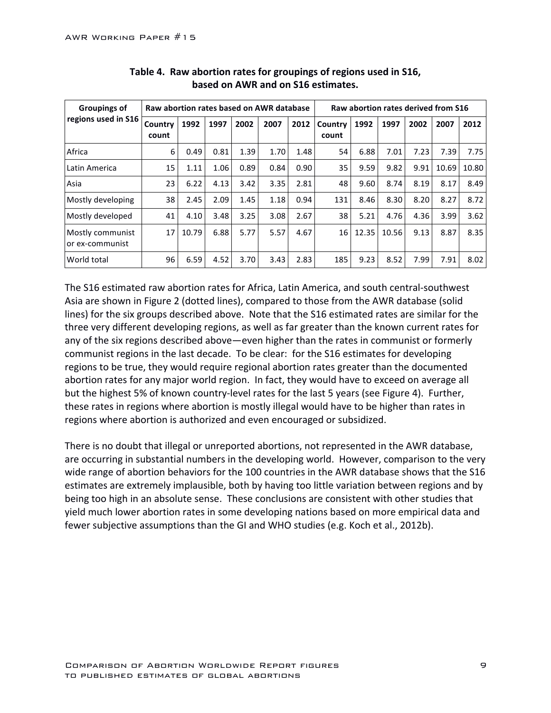| <b>Groupings of</b>                 | Raw abortion rates based on AWR database | Raw abortion rates derived from S16 |      |      |      |      |                  |       |       |      |       |       |
|-------------------------------------|------------------------------------------|-------------------------------------|------|------|------|------|------------------|-------|-------|------|-------|-------|
| regions used in S16                 | Country<br>count                         | 1992                                | 1997 | 2002 | 2007 | 2012 | Country<br>count | 1992  | 1997  | 2002 | 2007  | 2012  |
| Africa                              | 6                                        | 0.49                                | 0.81 | 1.39 | 1.70 | 1.48 | 54               | 6.88  | 7.01  | 7.23 | 7.39  | 7.75  |
| Latin America                       | 15                                       | 1.11                                | 1.06 | 0.89 | 0.84 | 0.90 | 35               | 9.59  | 9.82  | 9.91 | 10.69 | 10.80 |
| Asia                                | 23                                       | 6.22                                | 4.13 | 3.42 | 3.35 | 2.81 | 48               | 9.60  | 8.74  | 8.19 | 8.17  | 8.49  |
| Mostly developing                   | 38                                       | 2.45                                | 2.09 | 1.45 | 1.18 | 0.94 | 131              | 8.46  | 8.30  | 8.20 | 8.27  | 8.72  |
| Mostly developed                    | 41                                       | 4.10                                | 3.48 | 3.25 | 3.08 | 2.67 | 38               | 5.21  | 4.76  | 4.36 | 3.99  | 3.62  |
| Mostly communist<br>or ex-communist | 17                                       | 10.79                               | 6.88 | 5.77 | 5.57 | 4.67 | 16               | 12.35 | 10.56 | 9.13 | 8.87  | 8.35  |
| World total                         | 96                                       | 6.59                                | 4.52 | 3.70 | 3.43 | 2.83 | 185              | 9.23  | 8.52  | 7.99 | 7.91  | 8.02  |

#### Table 4. Raw abortion rates for groupings of regions used in S16, based on AWR and on S16 estimates.

The S16 estimated raw abortion rates for Africa, Latin America, and south central-southwest Asia are shown in Figure 2 (dotted lines), compared to those from the AWR database (solid lines) for the six groups described above. Note that the S16 estimated rates are similar for the three very different developing regions, as well as far greater than the known current rates for any of the six regions described above—even higher than the rates in communist or formerly communist regions in the last decade. To be clear: for the S16 estimates for developing regions to be true, they would require regional abortion rates greater than the documented abortion rates for any major world region. In fact, they would have to exceed on average all but the highest 5% of known country-level rates for the last 5 years (see Figure 4). Further, these rates in regions where abortion is mostly illegal would have to be higher than rates in regions where abortion is authorized and even encouraged or subsidized.

There is no doubt that illegal or unreported abortions, not represented in the AWR database, are occurring in substantial numbers in the developing world. However, comparison to the very wide range of abortion behaviors for the 100 countries in the AWR database shows that the S16 estimates are extremely implausible, both by having too little variation between regions and by being too high in an absolute sense. These conclusions are consistent with other studies that yield much lower abortion rates in some developing nations based on more empirical data and fewer subjective assumptions than the GI and WHO studies (e.g. Koch et al., 2012b).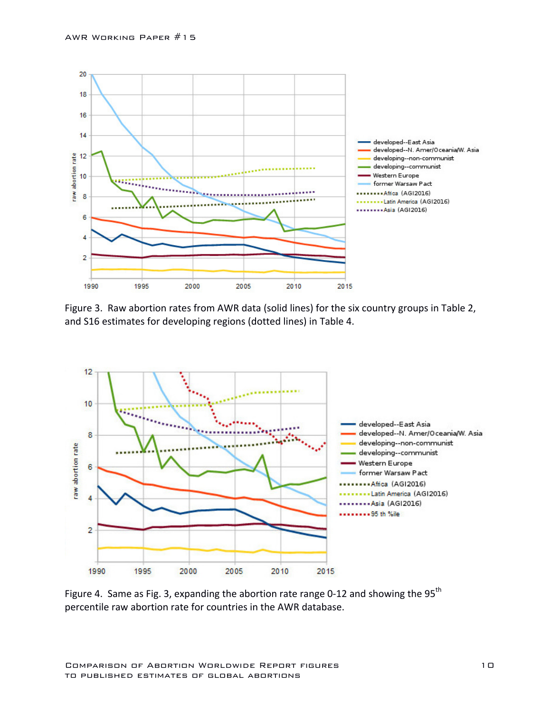

Figure 3. Raw abortion rates from AWR data (solid lines) for the six country groups in Table 2, and S16 estimates for developing regions (dotted lines) in Table 4.



Figure 4. Same as Fig. 3, expanding the abortion rate range 0-12 and showing the  $95<sup>th</sup>$ percentile raw abortion rate for countries in the AWR database.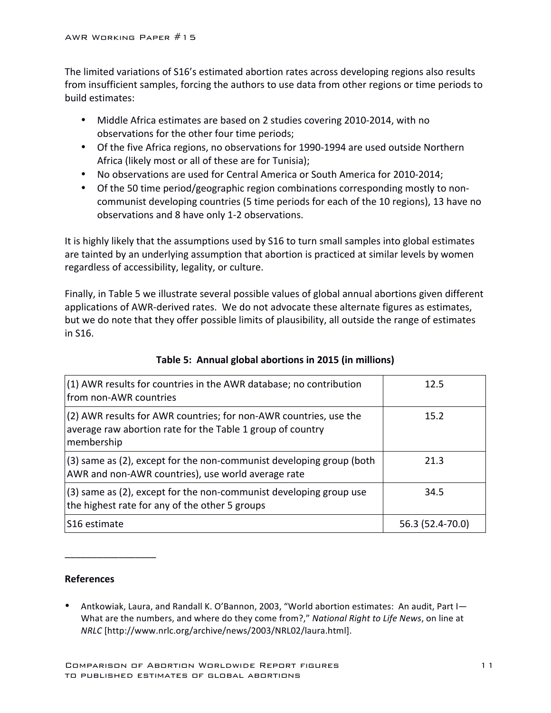The limited variations of S16's estimated abortion rates across developing regions also results from insufficient samples, forcing the authors to use data from other regions or time periods to build estimates: 

- Middle Africa estimates are based on 2 studies covering 2010-2014, with no observations for the other four time periods;
- Of the five Africa regions, no observations for 1990-1994 are used outside Northern Africa (likely most or all of these are for Tunisia);
- No observations are used for Central America or South America for 2010-2014;
- Of the 50 time period/geographic region combinations corresponding mostly to noncommunist developing countries (5 time periods for each of the 10 regions), 13 have no observations and 8 have only 1-2 observations.

It is highly likely that the assumptions used by S16 to turn small samples into global estimates are tainted by an underlying assumption that abortion is practiced at similar levels by women regardless of accessibility, legality, or culture.

Finally, in Table 5 we illustrate several possible values of global annual abortions given different applications of AWR-derived rates. We do not advocate these alternate figures as estimates, but we do note that they offer possible limits of plausibility, all outside the range of estimates in S16.

| (1) AWR results for countries in the AWR database; no contribution<br>from non-AWR countries                                                  | 12.5             |
|-----------------------------------------------------------------------------------------------------------------------------------------------|------------------|
| (2) AWR results for AWR countries; for non-AWR countries, use the<br>average raw abortion rate for the Table 1 group of country<br>membership | 15.2             |
| (3) same as (2), except for the non-communist developing group (both<br>AWR and non-AWR countries), use world average rate                    | 21.3             |
| (3) same as (2), except for the non-communist developing group use<br>the highest rate for any of the other 5 groups                          | 34.5             |
| S <sub>16</sub> estimate                                                                                                                      | 56.3 (52.4-70.0) |

### **Table 5: Annual global abortions in 2015 (in millions)**

#### **References**

\_\_\_\_\_\_\_\_\_\_\_\_\_\_\_\_\_

• Antkowiak, Laura, and Randall K. O'Bannon, 2003, "World abortion estimates: An audit, Part I-What are the numbers, and where do they come from?," National Right to Life News, on line at *NRLC* [http://www.nrlc.org/archive/news/2003/NRL02/laura.html].